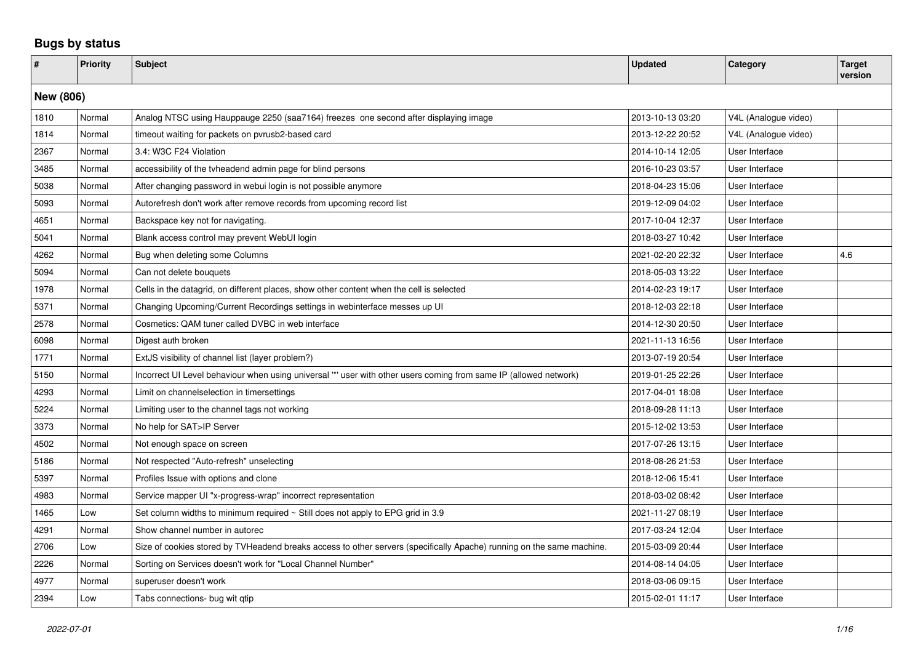## **Bugs by status**

| $\pmb{\#}$ | Priority  | <b>Subject</b>                                                                                                        | <b>Updated</b>   | Category             | <b>Target</b><br>version |  |  |
|------------|-----------|-----------------------------------------------------------------------------------------------------------------------|------------------|----------------------|--------------------------|--|--|
|            | New (806) |                                                                                                                       |                  |                      |                          |  |  |
| 1810       | Normal    | Analog NTSC using Hauppauge 2250 (saa7164) freezes one second after displaying image                                  | 2013-10-13 03:20 | V4L (Analogue video) |                          |  |  |
| 1814       | Normal    | timeout waiting for packets on pvrusb2-based card                                                                     | 2013-12-22 20:52 | V4L (Analogue video) |                          |  |  |
| 2367       | Normal    | 3.4: W3C F24 Violation                                                                                                | 2014-10-14 12:05 | User Interface       |                          |  |  |
| 3485       | Normal    | accessibility of the tyheadend admin page for blind persons                                                           | 2016-10-23 03:57 | User Interface       |                          |  |  |
| 5038       | Normal    | After changing password in webui login is not possible anymore                                                        | 2018-04-23 15:06 | User Interface       |                          |  |  |
| 5093       | Normal    | Autorefresh don't work after remove records from upcoming record list                                                 | 2019-12-09 04:02 | User Interface       |                          |  |  |
| 4651       | Normal    | Backspace key not for navigating.                                                                                     | 2017-10-04 12:37 | User Interface       |                          |  |  |
| 5041       | Normal    | Blank access control may prevent WebUI login                                                                          | 2018-03-27 10:42 | User Interface       |                          |  |  |
| 4262       | Normal    | Bug when deleting some Columns                                                                                        | 2021-02-20 22:32 | User Interface       | 4.6                      |  |  |
| 5094       | Normal    | Can not delete bouquets                                                                                               | 2018-05-03 13:22 | User Interface       |                          |  |  |
| 1978       | Normal    | Cells in the datagrid, on different places, show other content when the cell is selected                              | 2014-02-23 19:17 | User Interface       |                          |  |  |
| 5371       | Normal    | Changing Upcoming/Current Recordings settings in webinterface messes up UI                                            | 2018-12-03 22:18 | User Interface       |                          |  |  |
| 2578       | Normal    | Cosmetics: QAM tuner called DVBC in web interface                                                                     | 2014-12-30 20:50 | User Interface       |                          |  |  |
| 6098       | Normal    | Digest auth broken                                                                                                    | 2021-11-13 16:56 | User Interface       |                          |  |  |
| 1771       | Normal    | ExtJS visibility of channel list (layer problem?)                                                                     | 2013-07-19 20:54 | User Interface       |                          |  |  |
| 5150       | Normal    | Incorrect UI Level behaviour when using universal "" user with other users coming from same IP (allowed network)      | 2019-01-25 22:26 | User Interface       |                          |  |  |
| 4293       | Normal    | Limit on channelselection in timersettings                                                                            | 2017-04-01 18:08 | User Interface       |                          |  |  |
| 5224       | Normal    | Limiting user to the channel tags not working                                                                         | 2018-09-28 11:13 | User Interface       |                          |  |  |
| 3373       | Normal    | No help for SAT>IP Server                                                                                             | 2015-12-02 13:53 | User Interface       |                          |  |  |
| 4502       | Normal    | Not enough space on screen                                                                                            | 2017-07-26 13:15 | User Interface       |                          |  |  |
| 5186       | Normal    | Not respected "Auto-refresh" unselecting                                                                              | 2018-08-26 21:53 | User Interface       |                          |  |  |
| 5397       | Normal    | Profiles Issue with options and clone                                                                                 | 2018-12-06 15:41 | User Interface       |                          |  |  |
| 4983       | Normal    | Service mapper UI "x-progress-wrap" incorrect representation                                                          | 2018-03-02 08:42 | User Interface       |                          |  |  |
| 1465       | Low       | Set column widths to minimum required ~ Still does not apply to EPG grid in 3.9                                       | 2021-11-27 08:19 | User Interface       |                          |  |  |
| 4291       | Normal    | Show channel number in autorec                                                                                        | 2017-03-24 12:04 | User Interface       |                          |  |  |
| 2706       | Low       | Size of cookies stored by TVHeadend breaks access to other servers (specifically Apache) running on the same machine. | 2015-03-09 20:44 | User Interface       |                          |  |  |
| 2226       | Normal    | Sorting on Services doesn't work for "Local Channel Number"                                                           | 2014-08-14 04:05 | User Interface       |                          |  |  |
| 4977       | Normal    | superuser doesn't work                                                                                                | 2018-03-06 09:15 | User Interface       |                          |  |  |
| 2394       | Low       | Tabs connections- bug wit gtip                                                                                        | 2015-02-01 11:17 | User Interface       |                          |  |  |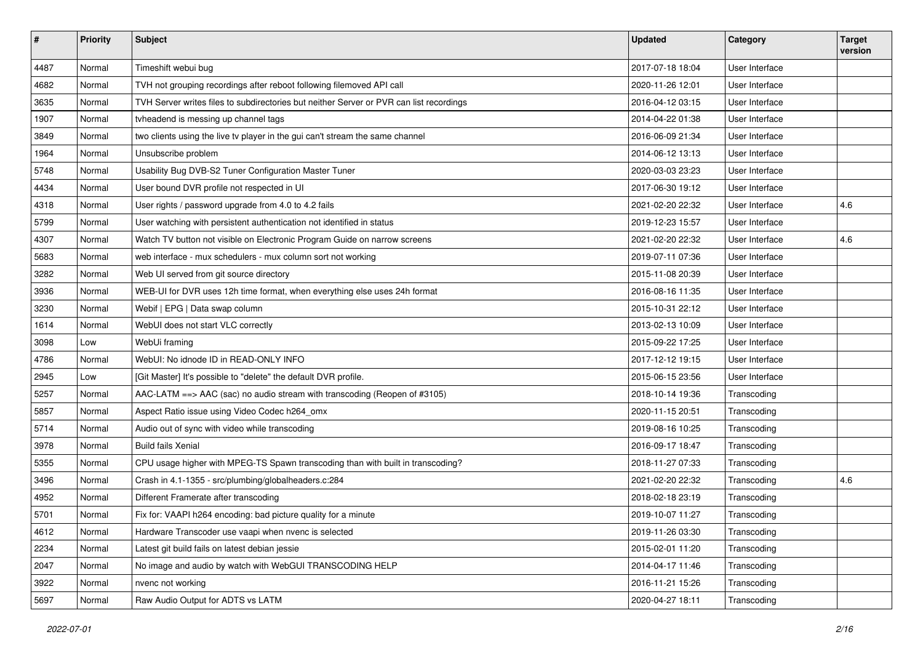| $\vert$ # | <b>Priority</b> | <b>Subject</b>                                                                          | <b>Updated</b>   | Category       | <b>Target</b><br>version |
|-----------|-----------------|-----------------------------------------------------------------------------------------|------------------|----------------|--------------------------|
| 4487      | Normal          | Timeshift webui bug                                                                     | 2017-07-18 18:04 | User Interface |                          |
| 4682      | Normal          | TVH not grouping recordings after reboot following filemoved API call                   | 2020-11-26 12:01 | User Interface |                          |
| 3635      | Normal          | TVH Server writes files to subdirectories but neither Server or PVR can list recordings | 2016-04-12 03:15 | User Interface |                          |
| 1907      | Normal          | tvheadend is messing up channel tags                                                    | 2014-04-22 01:38 | User Interface |                          |
| 3849      | Normal          | two clients using the live tv player in the gui can't stream the same channel           | 2016-06-09 21:34 | User Interface |                          |
| 1964      | Normal          | Unsubscribe problem                                                                     | 2014-06-12 13:13 | User Interface |                          |
| 5748      | Normal          | Usability Bug DVB-S2 Tuner Configuration Master Tuner                                   | 2020-03-03 23:23 | User Interface |                          |
| 4434      | Normal          | User bound DVR profile not respected in UI                                              | 2017-06-30 19:12 | User Interface |                          |
| 4318      | Normal          | User rights / password upgrade from 4.0 to 4.2 fails                                    | 2021-02-20 22:32 | User Interface | 4.6                      |
| 5799      | Normal          | User watching with persistent authentication not identified in status                   | 2019-12-23 15:57 | User Interface |                          |
| 4307      | Normal          | Watch TV button not visible on Electronic Program Guide on narrow screens               | 2021-02-20 22:32 | User Interface | 4.6                      |
| 5683      | Normal          | web interface - mux schedulers - mux column sort not working                            | 2019-07-11 07:36 | User Interface |                          |
| 3282      | Normal          | Web UI served from git source directory                                                 | 2015-11-08 20:39 | User Interface |                          |
| 3936      | Normal          | WEB-UI for DVR uses 12h time format, when everything else uses 24h format               | 2016-08-16 11:35 | User Interface |                          |
| 3230      | Normal          | Webif   EPG   Data swap column                                                          | 2015-10-31 22:12 | User Interface |                          |
| 1614      | Normal          | WebUI does not start VLC correctly                                                      | 2013-02-13 10:09 | User Interface |                          |
| 3098      | Low             | WebUi framing                                                                           | 2015-09-22 17:25 | User Interface |                          |
| 4786      | Normal          | WebUI: No idnode ID in READ-ONLY INFO                                                   | 2017-12-12 19:15 | User Interface |                          |
| 2945      | Low             | [Git Master] It's possible to "delete" the default DVR profile.                         | 2015-06-15 23:56 | User Interface |                          |
| 5257      | Normal          | AAC-LATM ==> AAC (sac) no audio stream with transcoding (Reopen of #3105)               | 2018-10-14 19:36 | Transcoding    |                          |
| 5857      | Normal          | Aspect Ratio issue using Video Codec h264_omx                                           | 2020-11-15 20:51 | Transcoding    |                          |
| 5714      | Normal          | Audio out of sync with video while transcoding                                          | 2019-08-16 10:25 | Transcoding    |                          |
| 3978      | Normal          | <b>Build fails Xenial</b>                                                               | 2016-09-17 18:47 | Transcoding    |                          |
| 5355      | Normal          | CPU usage higher with MPEG-TS Spawn transcoding than with built in transcoding?         | 2018-11-27 07:33 | Transcoding    |                          |
| 3496      | Normal          | Crash in 4.1-1355 - src/plumbing/globalheaders.c:284                                    | 2021-02-20 22:32 | Transcoding    | 4.6                      |
| 4952      | Normal          | Different Framerate after transcoding                                                   | 2018-02-18 23:19 | Transcoding    |                          |
| 5701      | Normal          | Fix for: VAAPI h264 encoding: bad picture quality for a minute                          | 2019-10-07 11:27 | Transcoding    |                          |
| 4612      | Normal          | Hardware Transcoder use vaapi when nvenc is selected                                    | 2019-11-26 03:30 | Transcoding    |                          |
| 2234      | Normal          | Latest git build fails on latest debian jessie                                          | 2015-02-01 11:20 | Transcoding    |                          |
| 2047      | Normal          | No image and audio by watch with WebGUI TRANSCODING HELP                                | 2014-04-17 11:46 | Transcoding    |                          |
| 3922      | Normal          | nvenc not working                                                                       | 2016-11-21 15:26 | Transcoding    |                          |
| 5697      | Normal          | Raw Audio Output for ADTS vs LATM                                                       | 2020-04-27 18:11 | Transcoding    |                          |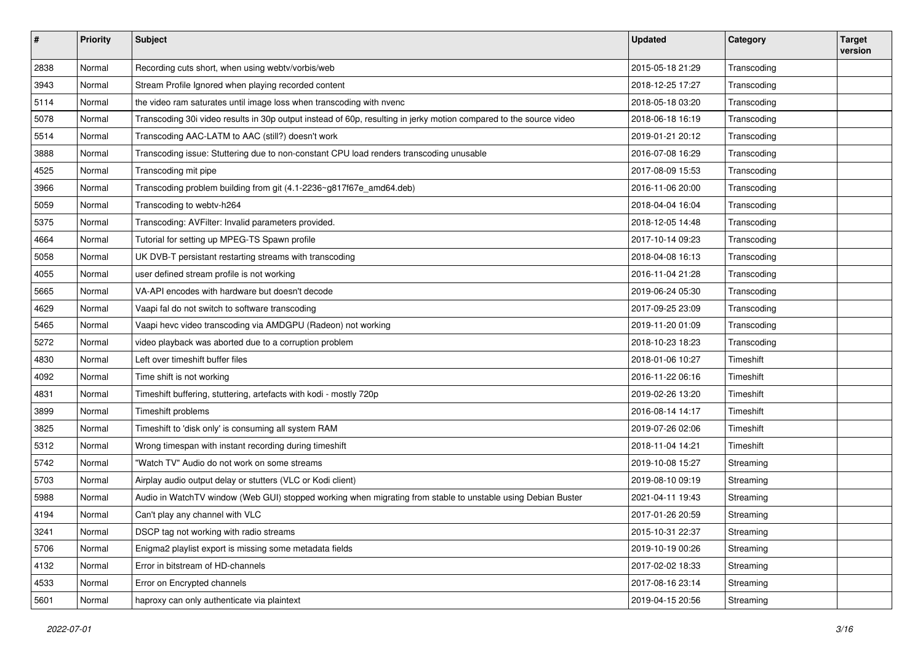| #    | <b>Priority</b> | <b>Subject</b>                                                                                                     | <b>Updated</b>   | Category    | <b>Target</b><br>version |
|------|-----------------|--------------------------------------------------------------------------------------------------------------------|------------------|-------------|--------------------------|
| 2838 | Normal          | Recording cuts short, when using webtv/vorbis/web                                                                  | 2015-05-18 21:29 | Transcoding |                          |
| 3943 | Normal          | Stream Profile Ignored when playing recorded content                                                               | 2018-12-25 17:27 | Transcoding |                          |
| 5114 | Normal          | the video ram saturates until image loss when transcoding with nvenc                                               | 2018-05-18 03:20 | Transcoding |                          |
| 5078 | Normal          | Transcoding 30i video results in 30p output instead of 60p, resulting in jerky motion compared to the source video | 2018-06-18 16:19 | Transcoding |                          |
| 5514 | Normal          | Transcoding AAC-LATM to AAC (still?) doesn't work                                                                  | 2019-01-21 20:12 | Transcoding |                          |
| 3888 | Normal          | Transcoding issue: Stuttering due to non-constant CPU load renders transcoding unusable                            | 2016-07-08 16:29 | Transcoding |                          |
| 4525 | Normal          | Transcoding mit pipe                                                                                               | 2017-08-09 15:53 | Transcoding |                          |
| 3966 | Normal          | Transcoding problem building from git (4.1-2236~g817f67e_amd64.deb)                                                | 2016-11-06 20:00 | Transcoding |                          |
| 5059 | Normal          | Transcoding to webtv-h264                                                                                          | 2018-04-04 16:04 | Transcoding |                          |
| 5375 | Normal          | Transcoding: AVFilter: Invalid parameters provided.                                                                | 2018-12-05 14:48 | Transcoding |                          |
| 4664 | Normal          | Tutorial for setting up MPEG-TS Spawn profile                                                                      | 2017-10-14 09:23 | Transcoding |                          |
| 5058 | Normal          | UK DVB-T persistant restarting streams with transcoding                                                            | 2018-04-08 16:13 | Transcoding |                          |
| 4055 | Normal          | user defined stream profile is not working                                                                         | 2016-11-04 21:28 | Transcoding |                          |
| 5665 | Normal          | VA-API encodes with hardware but doesn't decode                                                                    | 2019-06-24 05:30 | Transcoding |                          |
| 4629 | Normal          | Vaapi fal do not switch to software transcoding                                                                    | 2017-09-25 23:09 | Transcoding |                          |
| 5465 | Normal          | Vaapi hevc video transcoding via AMDGPU (Radeon) not working                                                       | 2019-11-20 01:09 | Transcoding |                          |
| 5272 | Normal          | video playback was aborted due to a corruption problem                                                             | 2018-10-23 18:23 | Transcoding |                          |
| 4830 | Normal          | Left over timeshift buffer files                                                                                   | 2018-01-06 10:27 | Timeshift   |                          |
| 4092 | Normal          | Time shift is not working                                                                                          | 2016-11-22 06:16 | Timeshift   |                          |
| 4831 | Normal          | Timeshift buffering, stuttering, artefacts with kodi - mostly 720p                                                 | 2019-02-26 13:20 | Timeshift   |                          |
| 3899 | Normal          | Timeshift problems                                                                                                 | 2016-08-14 14:17 | Timeshift   |                          |
| 3825 | Normal          | Timeshift to 'disk only' is consuming all system RAM                                                               | 2019-07-26 02:06 | Timeshift   |                          |
| 5312 | Normal          | Wrong timespan with instant recording during timeshift                                                             | 2018-11-04 14:21 | Timeshift   |                          |
| 5742 | Normal          | "Watch TV" Audio do not work on some streams                                                                       | 2019-10-08 15:27 | Streaming   |                          |
| 5703 | Normal          | Airplay audio output delay or stutters (VLC or Kodi client)                                                        | 2019-08-10 09:19 | Streaming   |                          |
| 5988 | Normal          | Audio in WatchTV window (Web GUI) stopped working when migrating from stable to unstable using Debian Buster       | 2021-04-11 19:43 | Streaming   |                          |
| 4194 | Normal          | Can't play any channel with VLC                                                                                    | 2017-01-26 20:59 | Streaming   |                          |
| 3241 | Normal          | DSCP tag not working with radio streams                                                                            | 2015-10-31 22:37 | Streaming   |                          |
| 5706 | Normal          | Enigma2 playlist export is missing some metadata fields                                                            | 2019-10-19 00:26 | Streaming   |                          |
| 4132 | Normal          | Error in bitstream of HD-channels                                                                                  | 2017-02-02 18:33 | Streaming   |                          |
| 4533 | Normal          | Error on Encrypted channels                                                                                        | 2017-08-16 23:14 | Streaming   |                          |
| 5601 | Normal          | haproxy can only authenticate via plaintext                                                                        | 2019-04-15 20:56 | Streaming   |                          |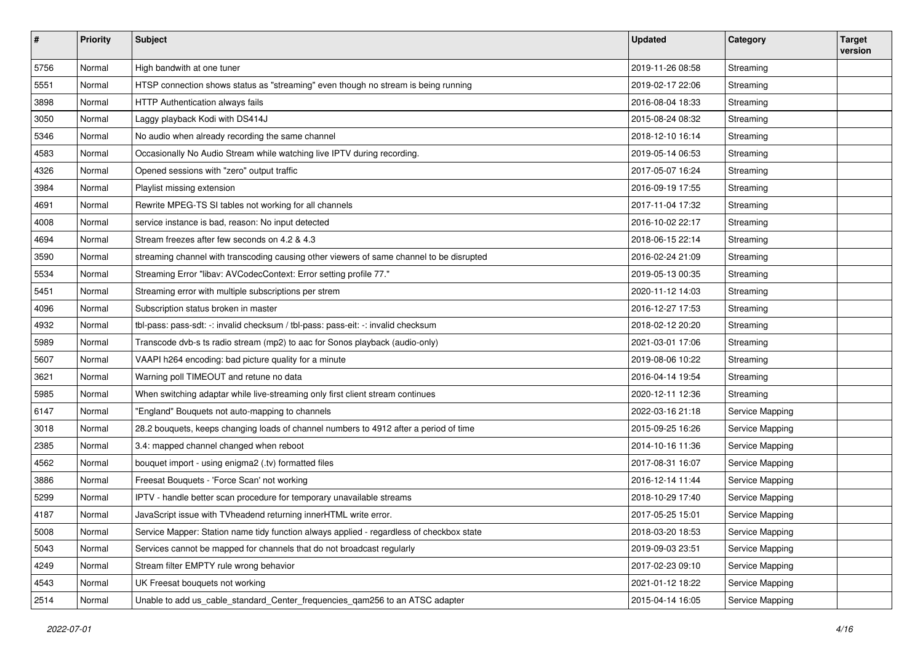| $\pmb{\#}$ | <b>Priority</b> | <b>Subject</b>                                                                           | <b>Updated</b>   | Category        | <b>Target</b><br>version |
|------------|-----------------|------------------------------------------------------------------------------------------|------------------|-----------------|--------------------------|
| 5756       | Normal          | High bandwith at one tuner                                                               | 2019-11-26 08:58 | Streaming       |                          |
| 5551       | Normal          | HTSP connection shows status as "streaming" even though no stream is being running       | 2019-02-17 22:06 | Streaming       |                          |
| 3898       | Normal          | HTTP Authentication always fails                                                         | 2016-08-04 18:33 | Streaming       |                          |
| 3050       | Normal          | Laggy playback Kodi with DS414J                                                          | 2015-08-24 08:32 | Streaming       |                          |
| 5346       | Normal          | No audio when already recording the same channel                                         | 2018-12-10 16:14 | Streaming       |                          |
| 4583       | Normal          | Occasionally No Audio Stream while watching live IPTV during recording.                  | 2019-05-14 06:53 | Streaming       |                          |
| 4326       | Normal          | Opened sessions with "zero" output traffic                                               | 2017-05-07 16:24 | Streaming       |                          |
| 3984       | Normal          | Playlist missing extension                                                               | 2016-09-19 17:55 | Streaming       |                          |
| 4691       | Normal          | Rewrite MPEG-TS SI tables not working for all channels                                   | 2017-11-04 17:32 | Streaming       |                          |
| 4008       | Normal          | service instance is bad, reason: No input detected                                       | 2016-10-02 22:17 | Streaming       |                          |
| 4694       | Normal          | Stream freezes after few seconds on 4.2 & 4.3                                            | 2018-06-15 22:14 | Streaming       |                          |
| 3590       | Normal          | streaming channel with transcoding causing other viewers of same channel to be disrupted | 2016-02-24 21:09 | Streaming       |                          |
| 5534       | Normal          | Streaming Error "libav: AVCodecContext: Error setting profile 77."                       | 2019-05-13 00:35 | Streaming       |                          |
| 5451       | Normal          | Streaming error with multiple subscriptions per strem                                    | 2020-11-12 14:03 | Streaming       |                          |
| 4096       | Normal          | Subscription status broken in master                                                     | 2016-12-27 17:53 | Streaming       |                          |
| 4932       | Normal          | tbl-pass: pass-sdt: -: invalid checksum / tbl-pass: pass-eit: -: invalid checksum        | 2018-02-12 20:20 | Streaming       |                          |
| 5989       | Normal          | Transcode dvb-s ts radio stream (mp2) to aac for Sonos playback (audio-only)             | 2021-03-01 17:06 | Streaming       |                          |
| 5607       | Normal          | VAAPI h264 encoding: bad picture quality for a minute                                    | 2019-08-06 10:22 | Streaming       |                          |
| 3621       | Normal          | Warning poll TIMEOUT and retune no data                                                  | 2016-04-14 19:54 | Streaming       |                          |
| 5985       | Normal          | When switching adaptar while live-streaming only first client stream continues           | 2020-12-11 12:36 | Streaming       |                          |
| 6147       | Normal          | 'England" Bouquets not auto-mapping to channels                                          | 2022-03-16 21:18 | Service Mapping |                          |
| 3018       | Normal          | 28.2 bouquets, keeps changing loads of channel numbers to 4912 after a period of time    | 2015-09-25 16:26 | Service Mapping |                          |
| 2385       | Normal          | 3.4: mapped channel changed when reboot                                                  | 2014-10-16 11:36 | Service Mapping |                          |
| 4562       | Normal          | bouquet import - using enigma2 (.tv) formatted files                                     | 2017-08-31 16:07 | Service Mapping |                          |
| 3886       | Normal          | Freesat Bouquets - 'Force Scan' not working                                              | 2016-12-14 11:44 | Service Mapping |                          |
| 5299       | Normal          | IPTV - handle better scan procedure for temporary unavailable streams                    | 2018-10-29 17:40 | Service Mapping |                          |
| 4187       | Normal          | JavaScript issue with TVheadend returning innerHTML write error.                         | 2017-05-25 15:01 | Service Mapping |                          |
| 5008       | Normal          | Service Mapper: Station name tidy function always applied - regardless of checkbox state | 2018-03-20 18:53 | Service Mapping |                          |
| 5043       | Normal          | Services cannot be mapped for channels that do not broadcast regularly                   | 2019-09-03 23:51 | Service Mapping |                          |
| 4249       | Normal          | Stream filter EMPTY rule wrong behavior                                                  | 2017-02-23 09:10 | Service Mapping |                          |
| 4543       | Normal          | UK Freesat bouquets not working                                                          | 2021-01-12 18:22 | Service Mapping |                          |
| 2514       | Normal          | Unable to add us_cable_standard_Center_frequencies_qam256 to an ATSC adapter             | 2015-04-14 16:05 | Service Mapping |                          |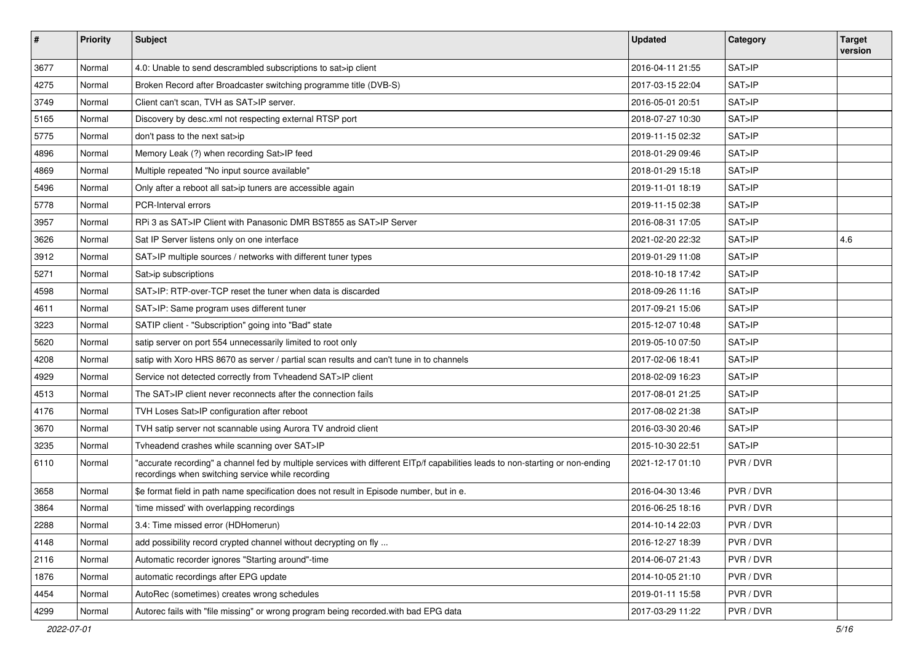| $\#$ | <b>Priority</b> | Subject                                                                                                                                                                             | <b>Updated</b>   | Category  | <b>Target</b><br>version |
|------|-----------------|-------------------------------------------------------------------------------------------------------------------------------------------------------------------------------------|------------------|-----------|--------------------------|
| 3677 | Normal          | 4.0: Unable to send descrambled subscriptions to sat>ip client                                                                                                                      | 2016-04-11 21:55 | SAT>IP    |                          |
| 4275 | Normal          | Broken Record after Broadcaster switching programme title (DVB-S)                                                                                                                   | 2017-03-15 22:04 | SAT>IP    |                          |
| 3749 | Normal          | Client can't scan, TVH as SAT>IP server.                                                                                                                                            | 2016-05-01 20:51 | SAT>IP    |                          |
| 5165 | Normal          | Discovery by desc.xml not respecting external RTSP port                                                                                                                             | 2018-07-27 10:30 | SAT>IP    |                          |
| 5775 | Normal          | don't pass to the next sat>ip                                                                                                                                                       | 2019-11-15 02:32 | SAT>IP    |                          |
| 4896 | Normal          | Memory Leak (?) when recording Sat>IP feed                                                                                                                                          | 2018-01-29 09:46 | SAT>IP    |                          |
| 4869 | Normal          | Multiple repeated "No input source available"                                                                                                                                       | 2018-01-29 15:18 | SAT>IP    |                          |
| 5496 | Normal          | Only after a reboot all sat>ip tuners are accessible again                                                                                                                          | 2019-11-01 18:19 | SAT > IP  |                          |
| 5778 | Normal          | PCR-Interval errors                                                                                                                                                                 | 2019-11-15 02:38 | SAT>IP    |                          |
| 3957 | Normal          | RPi 3 as SAT>IP Client with Panasonic DMR BST855 as SAT>IP Server                                                                                                                   | 2016-08-31 17:05 | SAT > IP  |                          |
| 3626 | Normal          | Sat IP Server listens only on one interface                                                                                                                                         | 2021-02-20 22:32 | SAT>IP    | 4.6                      |
| 3912 | Normal          | SAT>IP multiple sources / networks with different tuner types                                                                                                                       | 2019-01-29 11:08 | SAT>IP    |                          |
| 5271 | Normal          | Sat>ip subscriptions                                                                                                                                                                | 2018-10-18 17:42 | SAT>IP    |                          |
| 4598 | Normal          | SAT>IP: RTP-over-TCP reset the tuner when data is discarded                                                                                                                         | 2018-09-26 11:16 | SAT>IP    |                          |
| 4611 | Normal          | SAT>IP: Same program uses different tuner                                                                                                                                           | 2017-09-21 15:06 | SAT>IP    |                          |
| 3223 | Normal          | SATIP client - "Subscription" going into "Bad" state                                                                                                                                | 2015-12-07 10:48 | SAT>IP    |                          |
| 5620 | Normal          | satip server on port 554 unnecessarily limited to root only                                                                                                                         | 2019-05-10 07:50 | SAT>IP    |                          |
| 4208 | Normal          | satip with Xoro HRS 8670 as server / partial scan results and can't tune in to channels                                                                                             | 2017-02-06 18:41 | SAT>IP    |                          |
| 4929 | Normal          | Service not detected correctly from Tvheadend SAT>IP client                                                                                                                         | 2018-02-09 16:23 | SAT>IP    |                          |
| 4513 | Normal          | The SAT>IP client never reconnects after the connection fails                                                                                                                       | 2017-08-01 21:25 | SAT>IP    |                          |
| 4176 | Normal          | TVH Loses Sat>IP configuration after reboot                                                                                                                                         | 2017-08-02 21:38 | SAT>IP    |                          |
| 3670 | Normal          | TVH satip server not scannable using Aurora TV android client                                                                                                                       | 2016-03-30 20:46 | SAT>IP    |                          |
| 3235 | Normal          | Tvheadend crashes while scanning over SAT>IP                                                                                                                                        | 2015-10-30 22:51 | SAT>IP    |                          |
| 6110 | Normal          | 'accurate recording" a channel fed by multiple services with different EITp/f capabilities leads to non-starting or non-ending<br>recordings when switching service while recording | 2021-12-17 01:10 | PVR / DVR |                          |
| 3658 | Normal          | \$e format field in path name specification does not result in Episode number, but in e.                                                                                            | 2016-04-30 13:46 | PVR / DVR |                          |
| 3864 | Normal          | 'time missed' with overlapping recordings                                                                                                                                           | 2016-06-25 18:16 | PVR / DVR |                          |
| 2288 | Normal          | 3.4: Time missed error (HDHomerun)                                                                                                                                                  | 2014-10-14 22:03 | PVR / DVR |                          |
| 4148 | Normal          | add possibility record crypted channel without decrypting on fly                                                                                                                    | 2016-12-27 18:39 | PVR / DVR |                          |
| 2116 | Normal          | Automatic recorder ignores "Starting around"-time                                                                                                                                   | 2014-06-07 21:43 | PVR / DVR |                          |
| 1876 | Normal          | automatic recordings after EPG update                                                                                                                                               | 2014-10-05 21:10 | PVR / DVR |                          |
| 4454 | Normal          | AutoRec (sometimes) creates wrong schedules                                                                                                                                         | 2019-01-11 15:58 | PVR / DVR |                          |
| 4299 | Normal          | Autorec fails with "file missing" or wrong program being recorded.with bad EPG data                                                                                                 | 2017-03-29 11:22 | PVR / DVR |                          |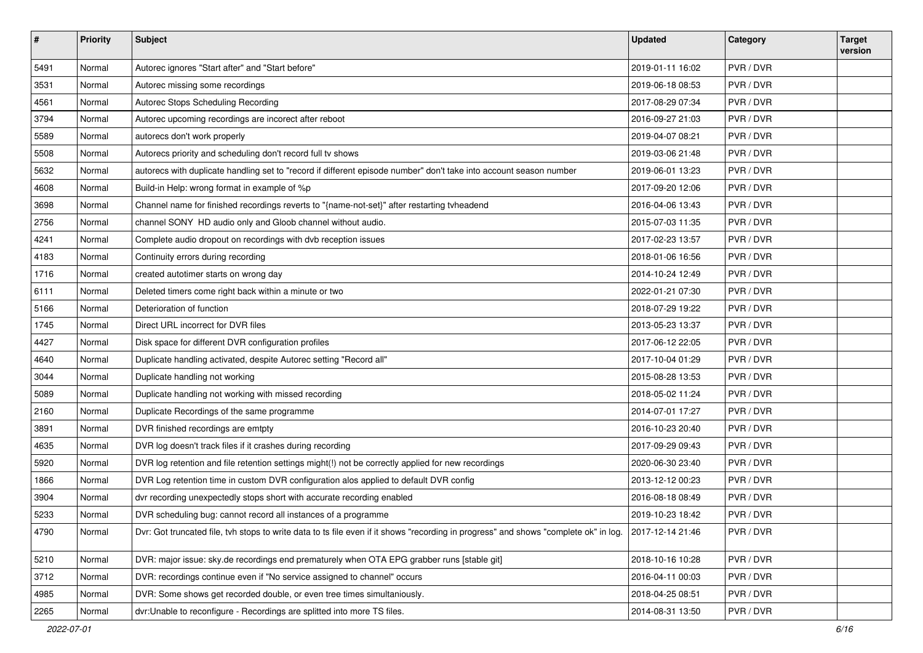| $\vert$ # | Priority | Subject                                                                                                                              | <b>Updated</b>   | Category  | <b>Target</b><br>version |
|-----------|----------|--------------------------------------------------------------------------------------------------------------------------------------|------------------|-----------|--------------------------|
| 5491      | Normal   | Autorec ignores "Start after" and "Start before"                                                                                     | 2019-01-11 16:02 | PVR / DVR |                          |
| 3531      | Normal   | Autorec missing some recordings                                                                                                      | 2019-06-18 08:53 | PVR / DVR |                          |
| 4561      | Normal   | Autorec Stops Scheduling Recording                                                                                                   | 2017-08-29 07:34 | PVR / DVR |                          |
| 3794      | Normal   | Autorec upcoming recordings are incorect after reboot                                                                                | 2016-09-27 21:03 | PVR / DVR |                          |
| 5589      | Normal   | autorecs don't work properly                                                                                                         | 2019-04-07 08:21 | PVR / DVR |                          |
| 5508      | Normal   | Autorecs priority and scheduling don't record full tv shows                                                                          | 2019-03-06 21:48 | PVR / DVR |                          |
| 5632      | Normal   | autorecs with duplicate handling set to "record if different episode number" don't take into account season number                   | 2019-06-01 13:23 | PVR / DVR |                          |
| 4608      | Normal   | Build-in Help: wrong format in example of %p                                                                                         | 2017-09-20 12:06 | PVR / DVR |                          |
| 3698      | Normal   | Channel name for finished recordings reverts to "{name-not-set}" after restarting tvheadend                                          | 2016-04-06 13:43 | PVR / DVR |                          |
| 2756      | Normal   | channel SONY HD audio only and Gloob channel without audio.                                                                          | 2015-07-03 11:35 | PVR / DVR |                          |
| 4241      | Normal   | Complete audio dropout on recordings with dvb reception issues                                                                       | 2017-02-23 13:57 | PVR / DVR |                          |
| 4183      | Normal   | Continuity errors during recording                                                                                                   | 2018-01-06 16:56 | PVR / DVR |                          |
| 1716      | Normal   | created autotimer starts on wrong day                                                                                                | 2014-10-24 12:49 | PVR / DVR |                          |
| 6111      | Normal   | Deleted timers come right back within a minute or two                                                                                | 2022-01-21 07:30 | PVR / DVR |                          |
| 5166      | Normal   | Deterioration of function                                                                                                            | 2018-07-29 19:22 | PVR / DVR |                          |
| 1745      | Normal   | Direct URL incorrect for DVR files                                                                                                   | 2013-05-23 13:37 | PVR / DVR |                          |
| 4427      | Normal   | Disk space for different DVR configuration profiles                                                                                  | 2017-06-12 22:05 | PVR / DVR |                          |
| 4640      | Normal   | Duplicate handling activated, despite Autorec setting "Record all"                                                                   | 2017-10-04 01:29 | PVR / DVR |                          |
| 3044      | Normal   | Duplicate handling not working                                                                                                       | 2015-08-28 13:53 | PVR / DVR |                          |
| 5089      | Normal   | Duplicate handling not working with missed recording                                                                                 | 2018-05-02 11:24 | PVR / DVR |                          |
| 2160      | Normal   | Duplicate Recordings of the same programme                                                                                           | 2014-07-01 17:27 | PVR / DVR |                          |
| 3891      | Normal   | DVR finished recordings are emtpty                                                                                                   | 2016-10-23 20:40 | PVR / DVR |                          |
| 4635      | Normal   | DVR log doesn't track files if it crashes during recording                                                                           | 2017-09-29 09:43 | PVR / DVR |                          |
| 5920      | Normal   | DVR log retention and file retention settings might(!) not be correctly applied for new recordings                                   | 2020-06-30 23:40 | PVR / DVR |                          |
| 1866      | Normal   | DVR Log retention time in custom DVR configuration alos applied to default DVR config                                                | 2013-12-12 00:23 | PVR / DVR |                          |
| 3904      | Normal   | dvr recording unexpectedly stops short with accurate recording enabled                                                               | 2016-08-18 08:49 | PVR / DVR |                          |
| 5233      | Normal   | DVR scheduling bug: cannot record all instances of a programme                                                                       | 2019-10-23 18:42 | PVR / DVR |                          |
| 4790      | Normal   | Dvr: Got truncated file, tvh stops to write data to ts file even if it shows "recording in progress" and shows "complete ok" in log. | 2017-12-14 21:46 | PVR / DVR |                          |
| 5210      | Normal   | DVR: major issue: sky.de recordings end prematurely when OTA EPG grabber runs [stable git]                                           | 2018-10-16 10:28 | PVR / DVR |                          |
| 3712      | Normal   | DVR: recordings continue even if "No service assigned to channel" occurs                                                             | 2016-04-11 00:03 | PVR / DVR |                          |
| 4985      | Normal   | DVR: Some shows get recorded double, or even tree times simultaniously.                                                              | 2018-04-25 08:51 | PVR / DVR |                          |
| 2265      | Normal   | dvr:Unable to reconfigure - Recordings are splitted into more TS files.                                                              | 2014-08-31 13:50 | PVR / DVR |                          |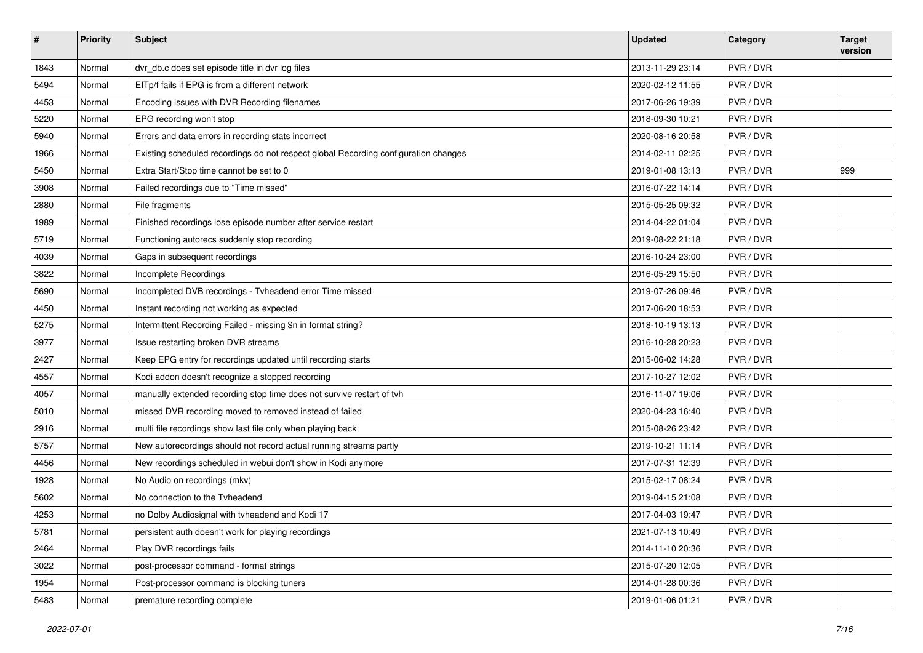| #    | <b>Priority</b> | <b>Subject</b>                                                                      | <b>Updated</b>   | Category  | <b>Target</b><br>version |
|------|-----------------|-------------------------------------------------------------------------------------|------------------|-----------|--------------------------|
| 1843 | Normal          | dvr_db.c does set episode title in dvr log files                                    | 2013-11-29 23:14 | PVR / DVR |                          |
| 5494 | Normal          | EITp/f fails if EPG is from a different network                                     | 2020-02-12 11:55 | PVR / DVR |                          |
| 4453 | Normal          | Encoding issues with DVR Recording filenames                                        | 2017-06-26 19:39 | PVR / DVR |                          |
| 5220 | Normal          | EPG recording won't stop                                                            | 2018-09-30 10:21 | PVR / DVR |                          |
| 5940 | Normal          | Errors and data errors in recording stats incorrect                                 | 2020-08-16 20:58 | PVR / DVR |                          |
| 1966 | Normal          | Existing scheduled recordings do not respect global Recording configuration changes | 2014-02-11 02:25 | PVR / DVR |                          |
| 5450 | Normal          | Extra Start/Stop time cannot be set to 0                                            | 2019-01-08 13:13 | PVR / DVR | 999                      |
| 3908 | Normal          | Failed recordings due to "Time missed"                                              | 2016-07-22 14:14 | PVR / DVR |                          |
| 2880 | Normal          | File fragments                                                                      | 2015-05-25 09:32 | PVR / DVR |                          |
| 1989 | Normal          | Finished recordings lose episode number after service restart                       | 2014-04-22 01:04 | PVR / DVR |                          |
| 5719 | Normal          | Functioning autorecs suddenly stop recording                                        | 2019-08-22 21:18 | PVR / DVR |                          |
| 4039 | Normal          | Gaps in subsequent recordings                                                       | 2016-10-24 23:00 | PVR / DVR |                          |
| 3822 | Normal          | Incomplete Recordings                                                               | 2016-05-29 15:50 | PVR / DVR |                          |
| 5690 | Normal          | Incompleted DVB recordings - Tvheadend error Time missed                            | 2019-07-26 09:46 | PVR / DVR |                          |
| 4450 | Normal          | Instant recording not working as expected                                           | 2017-06-20 18:53 | PVR / DVR |                          |
| 5275 | Normal          | Intermittent Recording Failed - missing \$n in format string?                       | 2018-10-19 13:13 | PVR / DVR |                          |
| 3977 | Normal          | Issue restarting broken DVR streams                                                 | 2016-10-28 20:23 | PVR / DVR |                          |
| 2427 | Normal          | Keep EPG entry for recordings updated until recording starts                        | 2015-06-02 14:28 | PVR / DVR |                          |
| 4557 | Normal          | Kodi addon doesn't recognize a stopped recording                                    | 2017-10-27 12:02 | PVR / DVR |                          |
| 4057 | Normal          | manually extended recording stop time does not survive restart of tvh               | 2016-11-07 19:06 | PVR / DVR |                          |
| 5010 | Normal          | missed DVR recording moved to removed instead of failed                             | 2020-04-23 16:40 | PVR / DVR |                          |
| 2916 | Normal          | multi file recordings show last file only when playing back                         | 2015-08-26 23:42 | PVR / DVR |                          |
| 5757 | Normal          | New autorecordings should not record actual running streams partly                  | 2019-10-21 11:14 | PVR / DVR |                          |
| 4456 | Normal          | New recordings scheduled in webui don't show in Kodi anymore                        | 2017-07-31 12:39 | PVR / DVR |                          |
| 1928 | Normal          | No Audio on recordings (mkv)                                                        | 2015-02-17 08:24 | PVR / DVR |                          |
| 5602 | Normal          | No connection to the Tyheadend                                                      | 2019-04-15 21:08 | PVR / DVR |                          |
| 4253 | Normal          | no Dolby Audiosignal with tvheadend and Kodi 17                                     | 2017-04-03 19:47 | PVR / DVR |                          |
| 5781 | Normal          | persistent auth doesn't work for playing recordings                                 | 2021-07-13 10:49 | PVR / DVR |                          |
| 2464 | Normal          | Play DVR recordings fails                                                           | 2014-11-10 20:36 | PVR / DVR |                          |
| 3022 | Normal          | post-processor command - format strings                                             | 2015-07-20 12:05 | PVR / DVR |                          |
| 1954 | Normal          | Post-processor command is blocking tuners                                           | 2014-01-28 00:36 | PVR / DVR |                          |
| 5483 | Normal          | premature recording complete                                                        | 2019-01-06 01:21 | PVR / DVR |                          |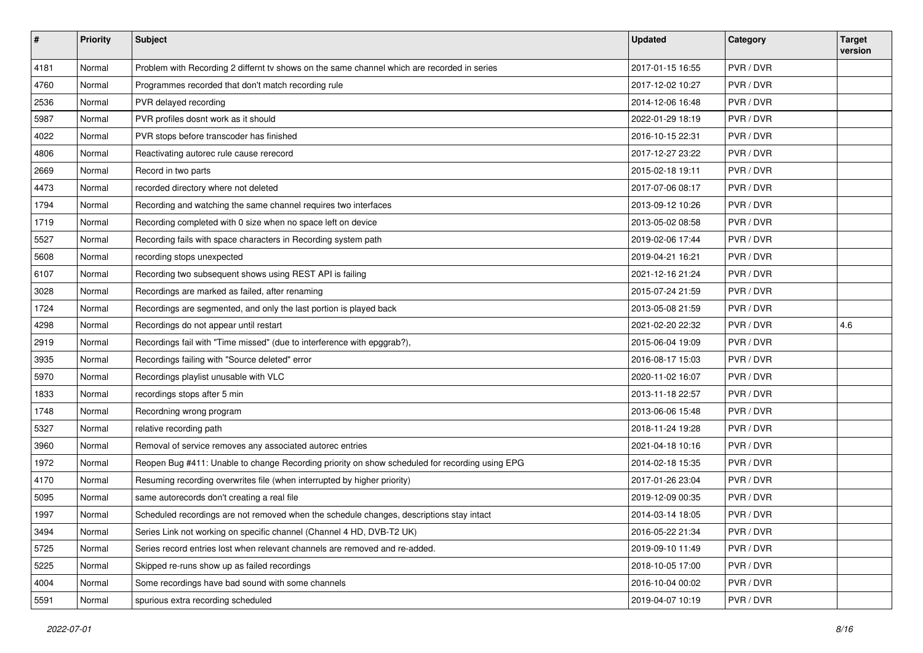| #    | Priority | Subject                                                                                        | <b>Updated</b>   | Category  | <b>Target</b><br>version |
|------|----------|------------------------------------------------------------------------------------------------|------------------|-----------|--------------------------|
| 4181 | Normal   | Problem with Recording 2 differnt tv shows on the same channel which are recorded in series    | 2017-01-15 16:55 | PVR / DVR |                          |
| 4760 | Normal   | Programmes recorded that don't match recording rule                                            | 2017-12-02 10:27 | PVR / DVR |                          |
| 2536 | Normal   | PVR delayed recording                                                                          | 2014-12-06 16:48 | PVR / DVR |                          |
| 5987 | Normal   | PVR profiles dosnt work as it should                                                           | 2022-01-29 18:19 | PVR / DVR |                          |
| 4022 | Normal   | PVR stops before transcoder has finished                                                       | 2016-10-15 22:31 | PVR / DVR |                          |
| 4806 | Normal   | Reactivating autorec rule cause rerecord                                                       | 2017-12-27 23:22 | PVR / DVR |                          |
| 2669 | Normal   | Record in two parts                                                                            | 2015-02-18 19:11 | PVR / DVR |                          |
| 4473 | Normal   | recorded directory where not deleted                                                           | 2017-07-06 08:17 | PVR / DVR |                          |
| 1794 | Normal   | Recording and watching the same channel requires two interfaces                                | 2013-09-12 10:26 | PVR / DVR |                          |
| 1719 | Normal   | Recording completed with 0 size when no space left on device                                   | 2013-05-02 08:58 | PVR / DVR |                          |
| 5527 | Normal   | Recording fails with space characters in Recording system path                                 | 2019-02-06 17:44 | PVR / DVR |                          |
| 5608 | Normal   | recording stops unexpected                                                                     | 2019-04-21 16:21 | PVR / DVR |                          |
| 6107 | Normal   | Recording two subsequent shows using REST API is failing                                       | 2021-12-16 21:24 | PVR / DVR |                          |
| 3028 | Normal   | Recordings are marked as failed, after renaming                                                | 2015-07-24 21:59 | PVR / DVR |                          |
| 1724 | Normal   | Recordings are segmented, and only the last portion is played back                             | 2013-05-08 21:59 | PVR / DVR |                          |
| 4298 | Normal   | Recordings do not appear until restart                                                         | 2021-02-20 22:32 | PVR / DVR | 4.6                      |
| 2919 | Normal   | Recordings fail with "Time missed" (due to interference with epggrab?),                        | 2015-06-04 19:09 | PVR / DVR |                          |
| 3935 | Normal   | Recordings failing with "Source deleted" error                                                 | 2016-08-17 15:03 | PVR / DVR |                          |
| 5970 | Normal   | Recordings playlist unusable with VLC                                                          | 2020-11-02 16:07 | PVR / DVR |                          |
| 1833 | Normal   | recordings stops after 5 min                                                                   | 2013-11-18 22:57 | PVR / DVR |                          |
| 1748 | Normal   | Recordning wrong program                                                                       | 2013-06-06 15:48 | PVR / DVR |                          |
| 5327 | Normal   | relative recording path                                                                        | 2018-11-24 19:28 | PVR / DVR |                          |
| 3960 | Normal   | Removal of service removes any associated autorec entries                                      | 2021-04-18 10:16 | PVR / DVR |                          |
| 1972 | Normal   | Reopen Bug #411: Unable to change Recording priority on show scheduled for recording using EPG | 2014-02-18 15:35 | PVR / DVR |                          |
| 4170 | Normal   | Resuming recording overwrites file (when interrupted by higher priority)                       | 2017-01-26 23:04 | PVR / DVR |                          |
| 5095 | Normal   | same autorecords don't creating a real file                                                    | 2019-12-09 00:35 | PVR / DVR |                          |
| 1997 | Normal   | Scheduled recordings are not removed when the schedule changes, descriptions stay intact       | 2014-03-14 18:05 | PVR / DVR |                          |
| 3494 | Normal   | Series Link not working on specific channel (Channel 4 HD, DVB-T2 UK)                          | 2016-05-22 21:34 | PVR / DVR |                          |
| 5725 | Normal   | Series record entries lost when relevant channels are removed and re-added.                    | 2019-09-10 11:49 | PVR / DVR |                          |
| 5225 | Normal   | Skipped re-runs show up as failed recordings                                                   | 2018-10-05 17:00 | PVR / DVR |                          |
| 4004 | Normal   | Some recordings have bad sound with some channels                                              | 2016-10-04 00:02 | PVR / DVR |                          |
| 5591 | Normal   | spurious extra recording scheduled                                                             | 2019-04-07 10:19 | PVR / DVR |                          |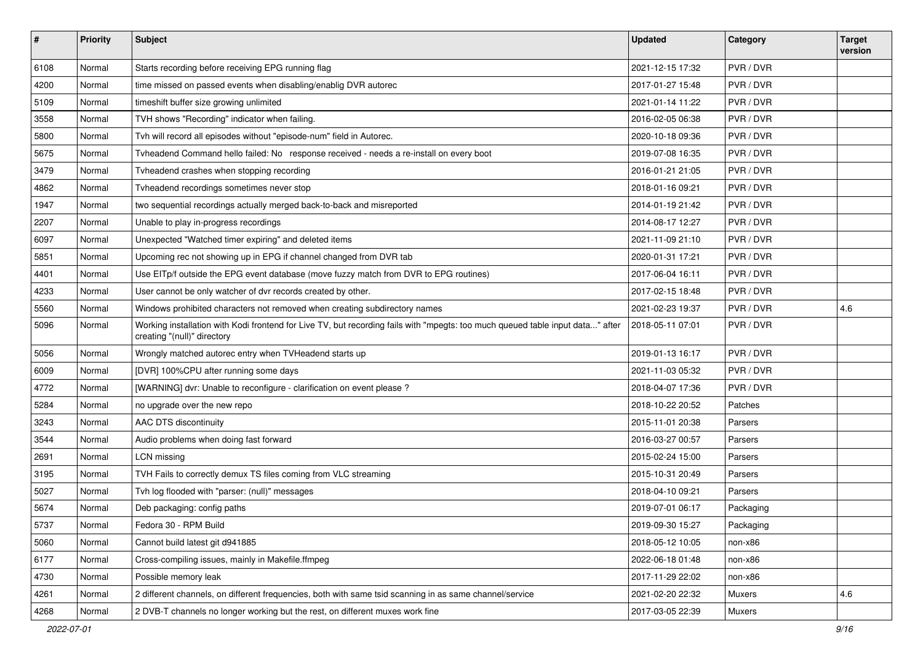| $\sharp$ | <b>Priority</b> | Subject                                                                                                                                                       | <b>Updated</b>   | Category  | <b>Target</b><br>version |
|----------|-----------------|---------------------------------------------------------------------------------------------------------------------------------------------------------------|------------------|-----------|--------------------------|
| 6108     | Normal          | Starts recording before receiving EPG running flag                                                                                                            | 2021-12-15 17:32 | PVR / DVR |                          |
| 4200     | Normal          | time missed on passed events when disabling/enablig DVR autorec                                                                                               | 2017-01-27 15:48 | PVR / DVR |                          |
| 5109     | Normal          | timeshift buffer size growing unlimited                                                                                                                       | 2021-01-14 11:22 | PVR / DVR |                          |
| 3558     | Normal          | TVH shows "Recording" indicator when failing.                                                                                                                 | 2016-02-05 06:38 | PVR / DVR |                          |
| 5800     | Normal          | Tvh will record all episodes without "episode-num" field in Autorec.                                                                                          | 2020-10-18 09:36 | PVR / DVR |                          |
| 5675     | Normal          | Tvheadend Command hello failed: No response received - needs a re-install on every boot                                                                       | 2019-07-08 16:35 | PVR / DVR |                          |
| 3479     | Normal          | Tyheadend crashes when stopping recording                                                                                                                     | 2016-01-21 21:05 | PVR / DVR |                          |
| 4862     | Normal          | Tvheadend recordings sometimes never stop                                                                                                                     | 2018-01-16 09:21 | PVR / DVR |                          |
| 1947     | Normal          | two sequential recordings actually merged back-to-back and misreported                                                                                        | 2014-01-19 21:42 | PVR / DVR |                          |
| 2207     | Normal          | Unable to play in-progress recordings                                                                                                                         | 2014-08-17 12:27 | PVR / DVR |                          |
| 6097     | Normal          | Unexpected "Watched timer expiring" and deleted items                                                                                                         | 2021-11-09 21:10 | PVR / DVR |                          |
| 5851     | Normal          | Upcoming rec not showing up in EPG if channel changed from DVR tab                                                                                            | 2020-01-31 17:21 | PVR / DVR |                          |
| 4401     | Normal          | Use EITp/f outside the EPG event database (move fuzzy match from DVR to EPG routines)                                                                         | 2017-06-04 16:11 | PVR / DVR |                          |
| 4233     | Normal          | User cannot be only watcher of dvr records created by other.                                                                                                  | 2017-02-15 18:48 | PVR / DVR |                          |
| 5560     | Normal          | Windows prohibited characters not removed when creating subdirectory names                                                                                    | 2021-02-23 19:37 | PVR / DVR | 4.6                      |
| 5096     | Normal          | Working installation with Kodi frontend for Live TV, but recording fails with "mpegts: too much queued table input data" after<br>creating "(null)" directory | 2018-05-11 07:01 | PVR / DVR |                          |
| 5056     | Normal          | Wrongly matched autorec entry when TVHeadend starts up                                                                                                        | 2019-01-13 16:17 | PVR / DVR |                          |
| 6009     | Normal          | [DVR] 100%CPU after running some days                                                                                                                         | 2021-11-03 05:32 | PVR / DVR |                          |
| 4772     | Normal          | [WARNING] dvr: Unable to reconfigure - clarification on event please ?                                                                                        | 2018-04-07 17:36 | PVR / DVR |                          |
| 5284     | Normal          | no upgrade over the new repo                                                                                                                                  | 2018-10-22 20:52 | Patches   |                          |
| 3243     | Normal          | AAC DTS discontinuity                                                                                                                                         | 2015-11-01 20:38 | Parsers   |                          |
| 3544     | Normal          | Audio problems when doing fast forward                                                                                                                        | 2016-03-27 00:57 | Parsers   |                          |
| 2691     | Normal          | LCN missing                                                                                                                                                   | 2015-02-24 15:00 | Parsers   |                          |
| 3195     | Normal          | TVH Fails to correctly demux TS files coming from VLC streaming                                                                                               | 2015-10-31 20:49 | Parsers   |                          |
| 5027     | Normal          | Tvh log flooded with "parser: (null)" messages                                                                                                                | 2018-04-10 09:21 | Parsers   |                          |
| 5674     | Normal          | Deb packaging: config paths                                                                                                                                   | 2019-07-01 06:17 | Packaging |                          |
| 5737     | Normal          | Fedora 30 - RPM Build                                                                                                                                         | 2019-09-30 15:27 | Packaging |                          |
| 5060     | Normal          | Cannot build latest git d941885                                                                                                                               | 2018-05-12 10:05 | non-x86   |                          |
| 6177     | Normal          | Cross-compiling issues, mainly in Makefile.ffmpeg                                                                                                             | 2022-06-18 01:48 | non-x86   |                          |
| 4730     | Normal          | Possible memory leak                                                                                                                                          | 2017-11-29 22:02 | non-x86   |                          |
| 4261     | Normal          | 2 different channels, on different frequencies, both with same tsid scanning in as same channel/service                                                       | 2021-02-20 22:32 | Muxers    | 4.6                      |
| 4268     | Normal          | 2 DVB-T channels no longer working but the rest, on different muxes work fine                                                                                 | 2017-03-05 22:39 | Muxers    |                          |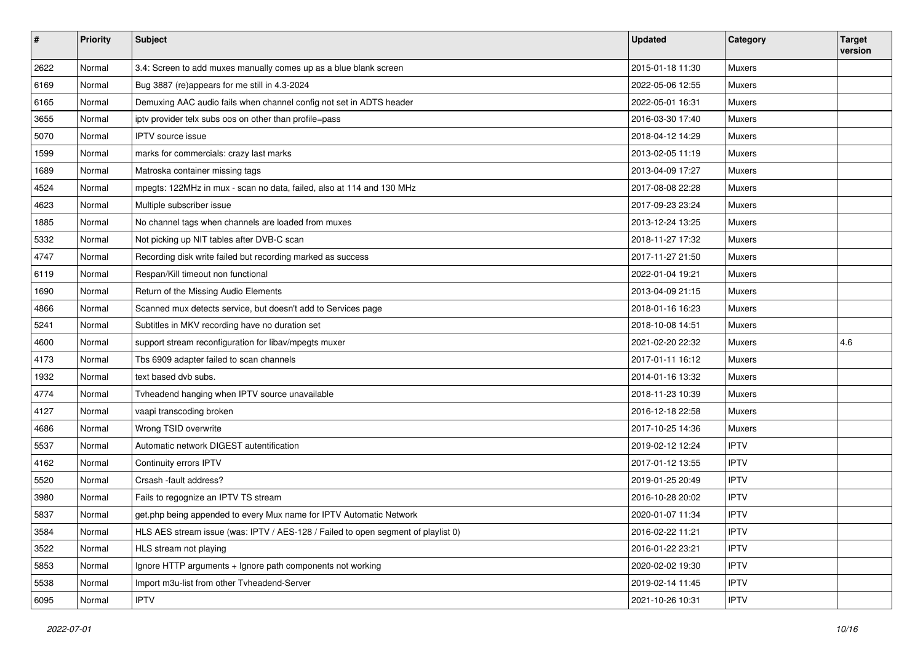| $\pmb{\#}$ | <b>Priority</b> | <b>Subject</b>                                                                    | <b>Updated</b>   | Category      | <b>Target</b><br>version |
|------------|-----------------|-----------------------------------------------------------------------------------|------------------|---------------|--------------------------|
| 2622       | Normal          | 3.4: Screen to add muxes manually comes up as a blue blank screen                 | 2015-01-18 11:30 | <b>Muxers</b> |                          |
| 6169       | Normal          | Bug 3887 (re)appears for me still in 4.3-2024                                     | 2022-05-06 12:55 | <b>Muxers</b> |                          |
| 6165       | Normal          | Demuxing AAC audio fails when channel config not set in ADTS header               | 2022-05-01 16:31 | <b>Muxers</b> |                          |
| 3655       | Normal          | iptv provider telx subs oos on other than profile=pass                            | 2016-03-30 17:40 | <b>Muxers</b> |                          |
| 5070       | Normal          | <b>IPTV</b> source issue                                                          | 2018-04-12 14:29 | <b>Muxers</b> |                          |
| 1599       | Normal          | marks for commercials: crazy last marks                                           | 2013-02-05 11:19 | <b>Muxers</b> |                          |
| 1689       | Normal          | Matroska container missing tags                                                   | 2013-04-09 17:27 | <b>Muxers</b> |                          |
| 4524       | Normal          | mpegts: 122MHz in mux - scan no data, failed, also at 114 and 130 MHz             | 2017-08-08 22:28 | <b>Muxers</b> |                          |
| 4623       | Normal          | Multiple subscriber issue                                                         | 2017-09-23 23:24 | <b>Muxers</b> |                          |
| 1885       | Normal          | No channel tags when channels are loaded from muxes                               | 2013-12-24 13:25 | Muxers        |                          |
| 5332       | Normal          | Not picking up NIT tables after DVB-C scan                                        | 2018-11-27 17:32 | <b>Muxers</b> |                          |
| 4747       | Normal          | Recording disk write failed but recording marked as success                       | 2017-11-27 21:50 | Muxers        |                          |
| 6119       | Normal          | Respan/Kill timeout non functional                                                | 2022-01-04 19:21 | <b>Muxers</b> |                          |
| 1690       | Normal          | Return of the Missing Audio Elements                                              | 2013-04-09 21:15 | Muxers        |                          |
| 4866       | Normal          | Scanned mux detects service, but doesn't add to Services page                     | 2018-01-16 16:23 | <b>Muxers</b> |                          |
| 5241       | Normal          | Subtitles in MKV recording have no duration set                                   | 2018-10-08 14:51 | <b>Muxers</b> |                          |
| 4600       | Normal          | support stream reconfiguration for libav/mpegts muxer                             | 2021-02-20 22:32 | <b>Muxers</b> | 4.6                      |
| 4173       | Normal          | Tbs 6909 adapter failed to scan channels                                          | 2017-01-11 16:12 | <b>Muxers</b> |                          |
| 1932       | Normal          | text based dvb subs.                                                              | 2014-01-16 13:32 | <b>Muxers</b> |                          |
| 4774       | Normal          | Tvheadend hanging when IPTV source unavailable                                    | 2018-11-23 10:39 | <b>Muxers</b> |                          |
| 4127       | Normal          | vaapi transcoding broken                                                          | 2016-12-18 22:58 | <b>Muxers</b> |                          |
| 4686       | Normal          | Wrong TSID overwrite                                                              | 2017-10-25 14:36 | <b>Muxers</b> |                          |
| 5537       | Normal          | Automatic network DIGEST autentification                                          | 2019-02-12 12:24 | <b>IPTV</b>   |                          |
| 4162       | Normal          | Continuity errors IPTV                                                            | 2017-01-12 13:55 | <b>IPTV</b>   |                          |
| 5520       | Normal          | Crsash -fault address?                                                            | 2019-01-25 20:49 | <b>IPTV</b>   |                          |
| 3980       | Normal          | Fails to regognize an IPTV TS stream                                              | 2016-10-28 20:02 | <b>IPTV</b>   |                          |
| 5837       | Normal          | get.php being appended to every Mux name for IPTV Automatic Network               | 2020-01-07 11:34 | <b>IPTV</b>   |                          |
| 3584       | Normal          | HLS AES stream issue (was: IPTV / AES-128 / Failed to open segment of playlist 0) | 2016-02-22 11:21 | <b>IPTV</b>   |                          |
| 3522       | Normal          | HLS stream not playing                                                            | 2016-01-22 23:21 | <b>IPTV</b>   |                          |
| 5853       | Normal          | Ignore HTTP arguments + Ignore path components not working                        | 2020-02-02 19:30 | <b>IPTV</b>   |                          |
| 5538       | Normal          | Import m3u-list from other Tvheadend-Server                                       | 2019-02-14 11:45 | <b>IPTV</b>   |                          |
| 6095       | Normal          | <b>IPTV</b>                                                                       | 2021-10-26 10:31 | <b>IPTV</b>   |                          |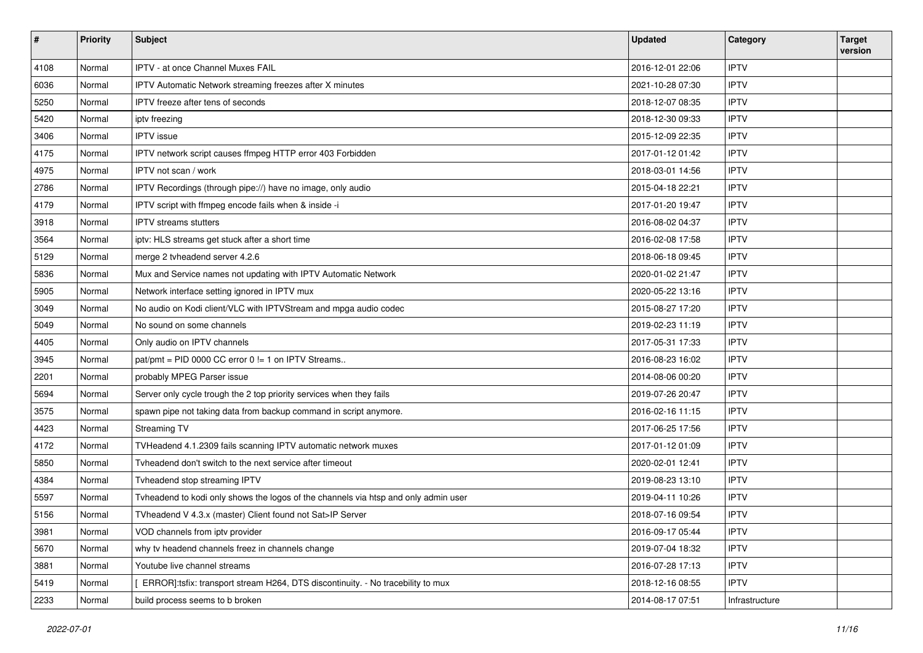| $\vert$ # | Priority | <b>Subject</b>                                                                      | <b>Updated</b>   | Category       | <b>Target</b><br>version |
|-----------|----------|-------------------------------------------------------------------------------------|------------------|----------------|--------------------------|
| 4108      | Normal   | IPTV - at once Channel Muxes FAIL                                                   | 2016-12-01 22:06 | <b>IPTV</b>    |                          |
| 6036      | Normal   | IPTV Automatic Network streaming freezes after X minutes                            | 2021-10-28 07:30 | <b>IPTV</b>    |                          |
| 5250      | Normal   | IPTV freeze after tens of seconds                                                   | 2018-12-07 08:35 | <b>IPTV</b>    |                          |
| 5420      | Normal   | ipty freezing                                                                       | 2018-12-30 09:33 | <b>IPTV</b>    |                          |
| 3406      | Normal   | <b>IPTV</b> issue                                                                   | 2015-12-09 22:35 | <b>IPTV</b>    |                          |
| 4175      | Normal   | IPTV network script causes ffmpeg HTTP error 403 Forbidden                          | 2017-01-12 01:42 | <b>IPTV</b>    |                          |
| 4975      | Normal   | IPTV not scan / work                                                                | 2018-03-01 14:56 | <b>IPTV</b>    |                          |
| 2786      | Normal   | IPTV Recordings (through pipe://) have no image, only audio                         | 2015-04-18 22:21 | <b>IPTV</b>    |                          |
| 4179      | Normal   | IPTV script with ffmpeg encode fails when & inside -i                               | 2017-01-20 19:47 | <b>IPTV</b>    |                          |
| 3918      | Normal   | <b>IPTV</b> streams stutters                                                        | 2016-08-02 04:37 | <b>IPTV</b>    |                          |
| 3564      | Normal   | iptv: HLS streams get stuck after a short time                                      | 2016-02-08 17:58 | <b>IPTV</b>    |                          |
| 5129      | Normal   | merge 2 tvheadend server 4.2.6                                                      | 2018-06-18 09:45 | <b>IPTV</b>    |                          |
| 5836      | Normal   | Mux and Service names not updating with IPTV Automatic Network                      | 2020-01-02 21:47 | <b>IPTV</b>    |                          |
| 5905      | Normal   | Network interface setting ignored in IPTV mux                                       | 2020-05-22 13:16 | <b>IPTV</b>    |                          |
| 3049      | Normal   | No audio on Kodi client/VLC with IPTVStream and mpga audio codec                    | 2015-08-27 17:20 | <b>IPTV</b>    |                          |
| 5049      | Normal   | No sound on some channels                                                           | 2019-02-23 11:19 | <b>IPTV</b>    |                          |
| 4405      | Normal   | Only audio on IPTV channels                                                         | 2017-05-31 17:33 | <b>IPTV</b>    |                          |
| 3945      | Normal   | pat/pmt = PID 0000 CC error 0 != 1 on IPTV Streams                                  | 2016-08-23 16:02 | <b>IPTV</b>    |                          |
| 2201      | Normal   | probably MPEG Parser issue                                                          | 2014-08-06 00:20 | <b>IPTV</b>    |                          |
| 5694      | Normal   | Server only cycle trough the 2 top priority services when they fails                | 2019-07-26 20:47 | <b>IPTV</b>    |                          |
| 3575      | Normal   | spawn pipe not taking data from backup command in script anymore.                   | 2016-02-16 11:15 | <b>IPTV</b>    |                          |
| 4423      | Normal   | Streaming TV                                                                        | 2017-06-25 17:56 | <b>IPTV</b>    |                          |
| 4172      | Normal   | TVHeadend 4.1.2309 fails scanning IPTV automatic network muxes                      | 2017-01-12 01:09 | <b>IPTV</b>    |                          |
| 5850      | Normal   | Tyheadend don't switch to the next service after timeout                            | 2020-02-01 12:41 | <b>IPTV</b>    |                          |
| 4384      | Normal   | Tvheadend stop streaming IPTV                                                       | 2019-08-23 13:10 | <b>IPTV</b>    |                          |
| 5597      | Normal   | Tvheadend to kodi only shows the logos of the channels via htsp and only admin user | 2019-04-11 10:26 | <b>IPTV</b>    |                          |
| 5156      | Normal   | TVheadend V 4.3.x (master) Client found not Sat>IP Server                           | 2018-07-16 09:54 | <b>IPTV</b>    |                          |
| 3981      | Normal   | VOD channels from iptv provider                                                     | 2016-09-17 05:44 | <b>IPTV</b>    |                          |
| 5670      | Normal   | why tv headend channels freez in channels change                                    | 2019-07-04 18:32 | <b>IPTV</b>    |                          |
| 3881      | Normal   | Youtube live channel streams                                                        | 2016-07-28 17:13 | <b>IPTV</b>    |                          |
| 5419      | Normal   | ERROR]:tsfix: transport stream H264, DTS discontinuity. - No tracebility to mux     | 2018-12-16 08:55 | <b>IPTV</b>    |                          |
| 2233      | Normal   | build process seems to b broken                                                     | 2014-08-17 07:51 | Infrastructure |                          |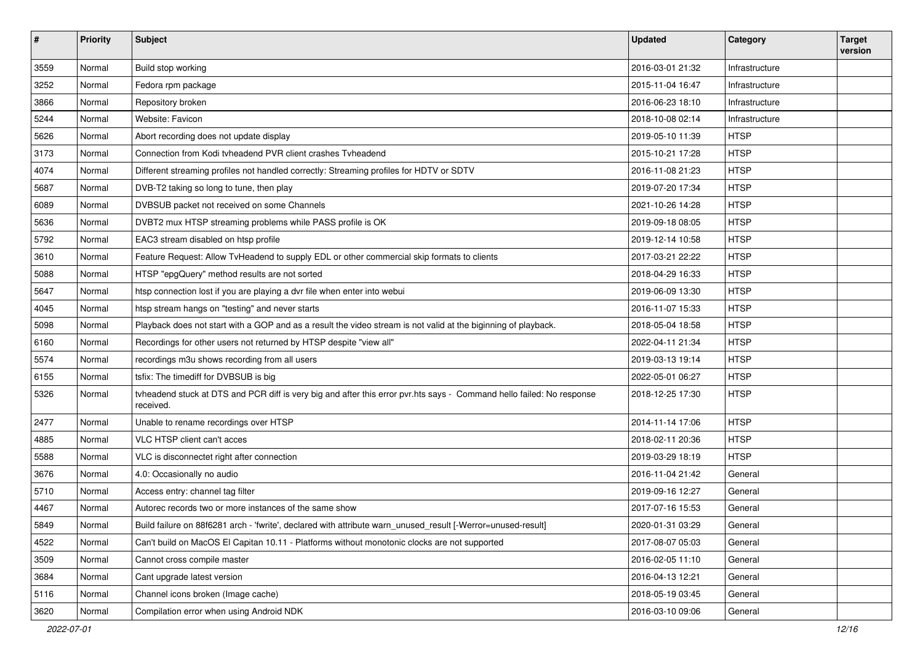| #    | <b>Priority</b> | Subject                                                                                                                            | <b>Updated</b>   | Category       | <b>Target</b><br>version |
|------|-----------------|------------------------------------------------------------------------------------------------------------------------------------|------------------|----------------|--------------------------|
| 3559 | Normal          | Build stop working                                                                                                                 | 2016-03-01 21:32 | Infrastructure |                          |
| 3252 | Normal          | Fedora rpm package                                                                                                                 | 2015-11-04 16:47 | Infrastructure |                          |
| 3866 | Normal          | Repository broken                                                                                                                  | 2016-06-23 18:10 | Infrastructure |                          |
| 5244 | Normal          | Website: Favicon                                                                                                                   | 2018-10-08 02:14 | Infrastructure |                          |
| 5626 | Normal          | Abort recording does not update display                                                                                            | 2019-05-10 11:39 | <b>HTSP</b>    |                          |
| 3173 | Normal          | Connection from Kodi tvheadend PVR client crashes Tvheadend                                                                        | 2015-10-21 17:28 | <b>HTSP</b>    |                          |
| 4074 | Normal          | Different streaming profiles not handled correctly: Streaming profiles for HDTV or SDTV                                            | 2016-11-08 21:23 | <b>HTSP</b>    |                          |
| 5687 | Normal          | DVB-T2 taking so long to tune, then play                                                                                           | 2019-07-20 17:34 | <b>HTSP</b>    |                          |
| 6089 | Normal          | DVBSUB packet not received on some Channels                                                                                        | 2021-10-26 14:28 | <b>HTSP</b>    |                          |
| 5636 | Normal          | DVBT2 mux HTSP streaming problems while PASS profile is OK                                                                         | 2019-09-18 08:05 | <b>HTSP</b>    |                          |
| 5792 | Normal          | EAC3 stream disabled on htsp profile                                                                                               | 2019-12-14 10:58 | <b>HTSP</b>    |                          |
| 3610 | Normal          | Feature Request: Allow TvHeadend to supply EDL or other commercial skip formats to clients                                         | 2017-03-21 22:22 | <b>HTSP</b>    |                          |
| 5088 | Normal          | HTSP "epgQuery" method results are not sorted                                                                                      | 2018-04-29 16:33 | <b>HTSP</b>    |                          |
| 5647 | Normal          | htsp connection lost if you are playing a dvr file when enter into webui                                                           | 2019-06-09 13:30 | <b>HTSP</b>    |                          |
| 4045 | Normal          | htsp stream hangs on "testing" and never starts                                                                                    | 2016-11-07 15:33 | <b>HTSP</b>    |                          |
| 5098 | Normal          | Playback does not start with a GOP and as a result the video stream is not valid at the biginning of playback.                     | 2018-05-04 18:58 | <b>HTSP</b>    |                          |
| 6160 | Normal          | Recordings for other users not returned by HTSP despite "view all"                                                                 | 2022-04-11 21:34 | <b>HTSP</b>    |                          |
| 5574 | Normal          | recordings m3u shows recording from all users                                                                                      | 2019-03-13 19:14 | <b>HTSP</b>    |                          |
| 6155 | Normal          | tsfix: The timediff for DVBSUB is big                                                                                              | 2022-05-01 06:27 | <b>HTSP</b>    |                          |
| 5326 | Normal          | tvheadend stuck at DTS and PCR diff is very big and after this error pvr.hts says - Command hello failed: No response<br>received. | 2018-12-25 17:30 | <b>HTSP</b>    |                          |
| 2477 | Normal          | Unable to rename recordings over HTSP                                                                                              | 2014-11-14 17:06 | <b>HTSP</b>    |                          |
| 4885 | Normal          | VLC HTSP client can't acces                                                                                                        | 2018-02-11 20:36 | <b>HTSP</b>    |                          |
| 5588 | Normal          | VLC is disconnectet right after connection                                                                                         | 2019-03-29 18:19 | <b>HTSP</b>    |                          |
| 3676 | Normal          | 4.0: Occasionally no audio                                                                                                         | 2016-11-04 21:42 | General        |                          |
| 5710 | Normal          | Access entry: channel tag filter                                                                                                   | 2019-09-16 12:27 | General        |                          |
| 4467 | Normal          | Autorec records two or more instances of the same show                                                                             | 2017-07-16 15:53 | General        |                          |
| 5849 | Normal          | Build failure on 88f6281 arch - 'fwrite', declared with attribute warn_unused_result [-Werror=unused-result]                       | 2020-01-31 03:29 | General        |                          |
| 4522 | Normal          | Can't build on MacOS El Capitan 10.11 - Platforms without monotonic clocks are not supported                                       | 2017-08-07 05:03 | General        |                          |
| 3509 | Normal          | Cannot cross compile master                                                                                                        | 2016-02-05 11:10 | General        |                          |
| 3684 | Normal          | Cant upgrade latest version                                                                                                        | 2016-04-13 12:21 | General        |                          |
| 5116 | Normal          | Channel icons broken (Image cache)                                                                                                 | 2018-05-19 03:45 | General        |                          |
| 3620 | Normal          | Compilation error when using Android NDK                                                                                           | 2016-03-10 09:06 | General        |                          |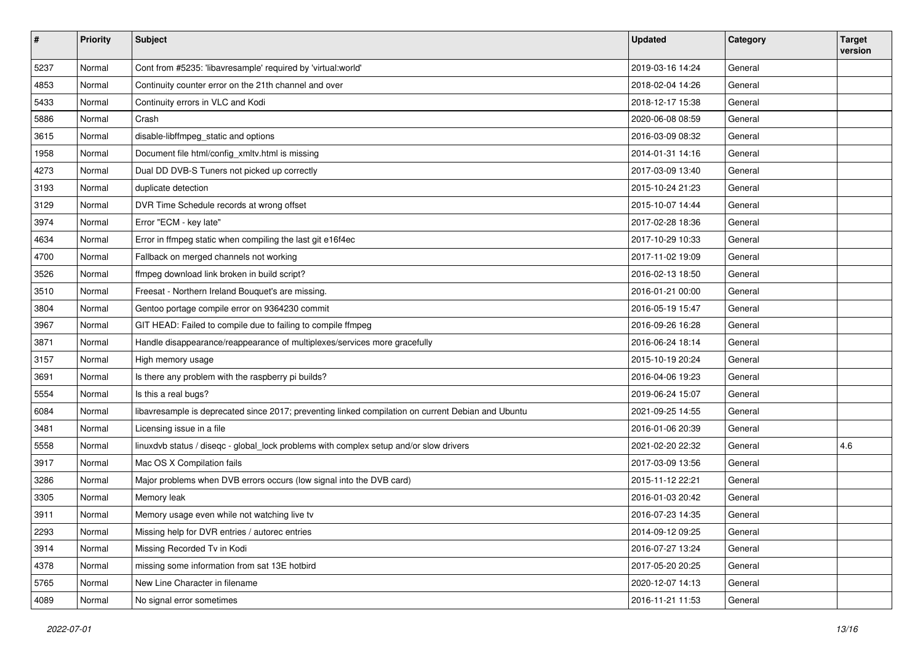| #    | Priority | <b>Subject</b>                                                                                     | <b>Updated</b>   | Category | <b>Target</b><br>version |
|------|----------|----------------------------------------------------------------------------------------------------|------------------|----------|--------------------------|
| 5237 | Normal   | Cont from #5235: 'libavresample' required by 'virtual:world'                                       | 2019-03-16 14:24 | General  |                          |
| 4853 | Normal   | Continuity counter error on the 21th channel and over                                              | 2018-02-04 14:26 | General  |                          |
| 5433 | Normal   | Continuity errors in VLC and Kodi                                                                  | 2018-12-17 15:38 | General  |                          |
| 5886 | Normal   | Crash                                                                                              | 2020-06-08 08:59 | General  |                          |
| 3615 | Normal   | disable-libffmpeg_static and options                                                               | 2016-03-09 08:32 | General  |                          |
| 1958 | Normal   | Document file html/config_xmltv.html is missing                                                    | 2014-01-31 14:16 | General  |                          |
| 4273 | Normal   | Dual DD DVB-S Tuners not picked up correctly                                                       | 2017-03-09 13:40 | General  |                          |
| 3193 | Normal   | duplicate detection                                                                                | 2015-10-24 21:23 | General  |                          |
| 3129 | Normal   | DVR Time Schedule records at wrong offset                                                          | 2015-10-07 14:44 | General  |                          |
| 3974 | Normal   | Error "ECM - key late"                                                                             | 2017-02-28 18:36 | General  |                          |
| 4634 | Normal   | Error in ffmpeg static when compiling the last git e16f4ec                                         | 2017-10-29 10:33 | General  |                          |
| 4700 | Normal   | Fallback on merged channels not working                                                            | 2017-11-02 19:09 | General  |                          |
| 3526 | Normal   | ffmpeg download link broken in build script?                                                       | 2016-02-13 18:50 | General  |                          |
| 3510 | Normal   | Freesat - Northern Ireland Bouquet's are missing.                                                  | 2016-01-21 00:00 | General  |                          |
| 3804 | Normal   | Gentoo portage compile error on 9364230 commit                                                     | 2016-05-19 15:47 | General  |                          |
| 3967 | Normal   | GIT HEAD: Failed to compile due to failing to compile ffmpeg                                       | 2016-09-26 16:28 | General  |                          |
| 3871 | Normal   | Handle disappearance/reappearance of multiplexes/services more gracefully                          | 2016-06-24 18:14 | General  |                          |
| 3157 | Normal   | High memory usage                                                                                  | 2015-10-19 20:24 | General  |                          |
| 3691 | Normal   | Is there any problem with the raspberry pi builds?                                                 | 2016-04-06 19:23 | General  |                          |
| 5554 | Normal   | Is this a real bugs?                                                                               | 2019-06-24 15:07 | General  |                          |
| 6084 | Normal   | libavresample is deprecated since 2017; preventing linked compilation on current Debian and Ubuntu | 2021-09-25 14:55 | General  |                          |
| 3481 | Normal   | Licensing issue in a file                                                                          | 2016-01-06 20:39 | General  |                          |
| 5558 | Normal   | linuxdvb status / diseqc - global_lock problems with complex setup and/or slow drivers             | 2021-02-20 22:32 | General  | 4.6                      |
| 3917 | Normal   | Mac OS X Compilation fails                                                                         | 2017-03-09 13:56 | General  |                          |
| 3286 | Normal   | Major problems when DVB errors occurs (low signal into the DVB card)                               | 2015-11-12 22:21 | General  |                          |
| 3305 | Normal   | Memory leak                                                                                        | 2016-01-03 20:42 | General  |                          |
| 3911 | Normal   | Memory usage even while not watching live tv                                                       | 2016-07-23 14:35 | General  |                          |
| 2293 | Normal   | Missing help for DVR entries / autorec entries                                                     | 2014-09-12 09:25 | General  |                          |
| 3914 | Normal   | Missing Recorded Tv in Kodi                                                                        | 2016-07-27 13:24 | General  |                          |
| 4378 | Normal   | missing some information from sat 13E hotbird                                                      | 2017-05-20 20:25 | General  |                          |
| 5765 | Normal   | New Line Character in filename                                                                     | 2020-12-07 14:13 | General  |                          |
| 4089 | Normal   | No signal error sometimes                                                                          | 2016-11-21 11:53 | General  |                          |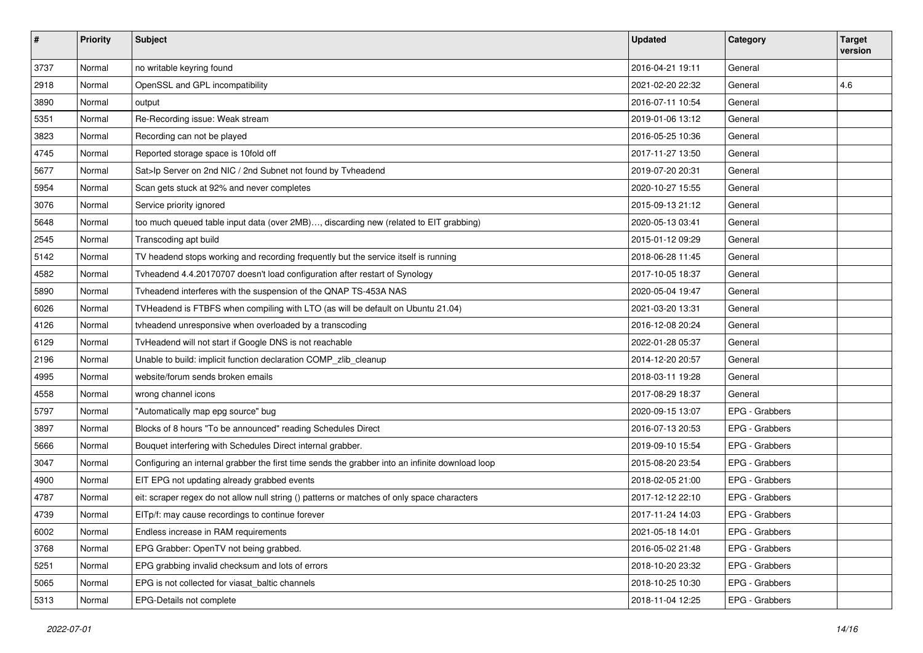| $\sharp$ | <b>Priority</b> | Subject                                                                                         | <b>Updated</b>   | Category       | <b>Target</b><br>version |
|----------|-----------------|-------------------------------------------------------------------------------------------------|------------------|----------------|--------------------------|
| 3737     | Normal          | no writable keyring found                                                                       | 2016-04-21 19:11 | General        |                          |
| 2918     | Normal          | OpenSSL and GPL incompatibility                                                                 | 2021-02-20 22:32 | General        | 4.6                      |
| 3890     | Normal          | output                                                                                          | 2016-07-11 10:54 | General        |                          |
| 5351     | Normal          | Re-Recording issue: Weak stream                                                                 | 2019-01-06 13:12 | General        |                          |
| 3823     | Normal          | Recording can not be played                                                                     | 2016-05-25 10:36 | General        |                          |
| 4745     | Normal          | Reported storage space is 10fold off                                                            | 2017-11-27 13:50 | General        |                          |
| 5677     | Normal          | Sat>Ip Server on 2nd NIC / 2nd Subnet not found by Tvheadend                                    | 2019-07-20 20:31 | General        |                          |
| 5954     | Normal          | Scan gets stuck at 92% and never completes                                                      | 2020-10-27 15:55 | General        |                          |
| 3076     | Normal          | Service priority ignored                                                                        | 2015-09-13 21:12 | General        |                          |
| 5648     | Normal          | too much queued table input data (over 2MB), discarding new (related to EIT grabbing)           | 2020-05-13 03:41 | General        |                          |
| 2545     | Normal          | Transcoding apt build                                                                           | 2015-01-12 09:29 | General        |                          |
| 5142     | Normal          | TV headend stops working and recording frequently but the service itself is running             | 2018-06-28 11:45 | General        |                          |
| 4582     | Normal          | Tvheadend 4.4.20170707 doesn't load configuration after restart of Synology                     | 2017-10-05 18:37 | General        |                          |
| 5890     | Normal          | Tvheadend interferes with the suspension of the QNAP TS-453A NAS                                | 2020-05-04 19:47 | General        |                          |
| 6026     | Normal          | TVHeadend is FTBFS when compiling with LTO (as will be default on Ubuntu 21.04)                 | 2021-03-20 13:31 | General        |                          |
| 4126     | Normal          | tvheadend unresponsive when overloaded by a transcoding                                         | 2016-12-08 20:24 | General        |                          |
| 6129     | Normal          | TvHeadend will not start if Google DNS is not reachable                                         | 2022-01-28 05:37 | General        |                          |
| 2196     | Normal          | Unable to build: implicit function declaration COMP_zlib_cleanup                                | 2014-12-20 20:57 | General        |                          |
| 4995     | Normal          | website/forum sends broken emails                                                               | 2018-03-11 19:28 | General        |                          |
| 4558     | Normal          | wrong channel icons                                                                             | 2017-08-29 18:37 | General        |                          |
| 5797     | Normal          | "Automatically map epg source" bug                                                              | 2020-09-15 13:07 | EPG - Grabbers |                          |
| 3897     | Normal          | Blocks of 8 hours "To be announced" reading Schedules Direct                                    | 2016-07-13 20:53 | EPG - Grabbers |                          |
| 5666     | Normal          | Bouquet interfering with Schedules Direct internal grabber.                                     | 2019-09-10 15:54 | EPG - Grabbers |                          |
| 3047     | Normal          | Configuring an internal grabber the first time sends the grabber into an infinite download loop | 2015-08-20 23:54 | EPG - Grabbers |                          |
| 4900     | Normal          | EIT EPG not updating already grabbed events                                                     | 2018-02-05 21:00 | EPG - Grabbers |                          |
| 4787     | Normal          | eit: scraper regex do not allow null string () patterns or matches of only space characters     | 2017-12-12 22:10 | EPG - Grabbers |                          |
| 4739     | Normal          | EITp/f: may cause recordings to continue forever                                                | 2017-11-24 14:03 | EPG - Grabbers |                          |
| 6002     | Normal          | Endless increase in RAM requirements                                                            | 2021-05-18 14:01 | EPG - Grabbers |                          |
| 3768     | Normal          | EPG Grabber: OpenTV not being grabbed.                                                          | 2016-05-02 21:48 | EPG - Grabbers |                          |
| 5251     | Normal          | EPG grabbing invalid checksum and lots of errors                                                | 2018-10-20 23:32 | EPG - Grabbers |                          |
| 5065     | Normal          | EPG is not collected for viasat_baltic channels                                                 | 2018-10-25 10:30 | EPG - Grabbers |                          |
| 5313     | Normal          | EPG-Details not complete                                                                        | 2018-11-04 12:25 | EPG - Grabbers |                          |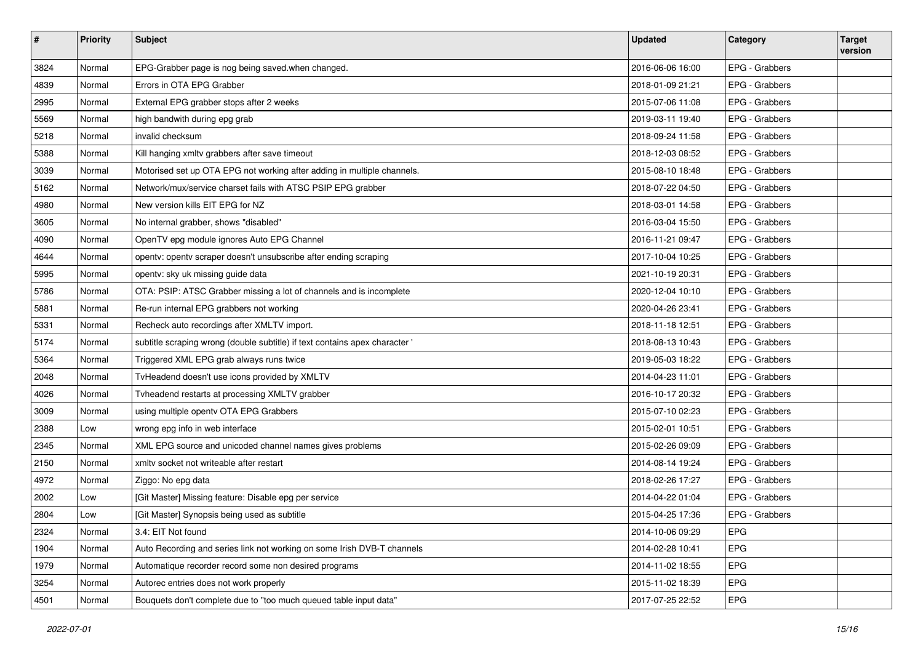| $\vert$ # | Priority | <b>Subject</b>                                                              | <b>Updated</b>   | Category       | <b>Target</b><br>version |
|-----------|----------|-----------------------------------------------------------------------------|------------------|----------------|--------------------------|
| 3824      | Normal   | EPG-Grabber page is nog being saved.when changed.                           | 2016-06-06 16:00 | EPG - Grabbers |                          |
| 4839      | Normal   | Errors in OTA EPG Grabber                                                   | 2018-01-09 21:21 | EPG - Grabbers |                          |
| 2995      | Normal   | External EPG grabber stops after 2 weeks                                    | 2015-07-06 11:08 | EPG - Grabbers |                          |
| 5569      | Normal   | high bandwith during epg grab                                               | 2019-03-11 19:40 | EPG - Grabbers |                          |
| 5218      | Normal   | invalid checksum                                                            | 2018-09-24 11:58 | EPG - Grabbers |                          |
| 5388      | Normal   | Kill hanging xmltv grabbers after save timeout                              | 2018-12-03 08:52 | EPG - Grabbers |                          |
| 3039      | Normal   | Motorised set up OTA EPG not working after adding in multiple channels.     | 2015-08-10 18:48 | EPG - Grabbers |                          |
| 5162      | Normal   | Network/mux/service charset fails with ATSC PSIP EPG grabber                | 2018-07-22 04:50 | EPG - Grabbers |                          |
| 4980      | Normal   | New version kills EIT EPG for NZ                                            | 2018-03-01 14:58 | EPG - Grabbers |                          |
| 3605      | Normal   | No internal grabber, shows "disabled"                                       | 2016-03-04 15:50 | EPG - Grabbers |                          |
| 4090      | Normal   | OpenTV epg module ignores Auto EPG Channel                                  | 2016-11-21 09:47 | EPG - Grabbers |                          |
| 4644      | Normal   | opentv: opentv scraper doesn't unsubscribe after ending scraping            | 2017-10-04 10:25 | EPG - Grabbers |                          |
| 5995      | Normal   | opentv: sky uk missing guide data                                           | 2021-10-19 20:31 | EPG - Grabbers |                          |
| 5786      | Normal   | OTA: PSIP: ATSC Grabber missing a lot of channels and is incomplete         | 2020-12-04 10:10 | EPG - Grabbers |                          |
| 5881      | Normal   | Re-run internal EPG grabbers not working                                    | 2020-04-26 23:41 | EPG - Grabbers |                          |
| 5331      | Normal   | Recheck auto recordings after XMLTV import.                                 | 2018-11-18 12:51 | EPG - Grabbers |                          |
| 5174      | Normal   | subtitle scraping wrong (double subtitle) if text contains apex character ' | 2018-08-13 10:43 | EPG - Grabbers |                          |
| 5364      | Normal   | Triggered XML EPG grab always runs twice                                    | 2019-05-03 18:22 | EPG - Grabbers |                          |
| 2048      | Normal   | TvHeadend doesn't use icons provided by XMLTV                               | 2014-04-23 11:01 | EPG - Grabbers |                          |
| 4026      | Normal   | Tvheadend restarts at processing XMLTV grabber                              | 2016-10-17 20:32 | EPG - Grabbers |                          |
| 3009      | Normal   | using multiple opentv OTA EPG Grabbers                                      | 2015-07-10 02:23 | EPG - Grabbers |                          |
| 2388      | Low      | wrong epg info in web interface                                             | 2015-02-01 10:51 | EPG - Grabbers |                          |
| 2345      | Normal   | XML EPG source and unicoded channel names gives problems                    | 2015-02-26 09:09 | EPG - Grabbers |                          |
| 2150      | Normal   | xmltv socket not writeable after restart                                    | 2014-08-14 19:24 | EPG - Grabbers |                          |
| 4972      | Normal   | Ziggo: No epg data                                                          | 2018-02-26 17:27 | EPG - Grabbers |                          |
| 2002      | Low      | [Git Master] Missing feature: Disable epg per service                       | 2014-04-22 01:04 | EPG - Grabbers |                          |
| 2804      | Low      | [Git Master] Synopsis being used as subtitle                                | 2015-04-25 17:36 | EPG - Grabbers |                          |
| 2324      | Normal   | 3.4: EIT Not found                                                          | 2014-10-06 09:29 | <b>EPG</b>     |                          |
| 1904      | Normal   | Auto Recording and series link not working on some Irish DVB-T channels     | 2014-02-28 10:41 | <b>EPG</b>     |                          |
| 1979      | Normal   | Automatique recorder record some non desired programs                       | 2014-11-02 18:55 | <b>EPG</b>     |                          |
| 3254      | Normal   | Autorec entries does not work properly                                      | 2015-11-02 18:39 | <b>EPG</b>     |                          |
| 4501      | Normal   | Bouquets don't complete due to "too much queued table input data"           | 2017-07-25 22:52 | <b>EPG</b>     |                          |